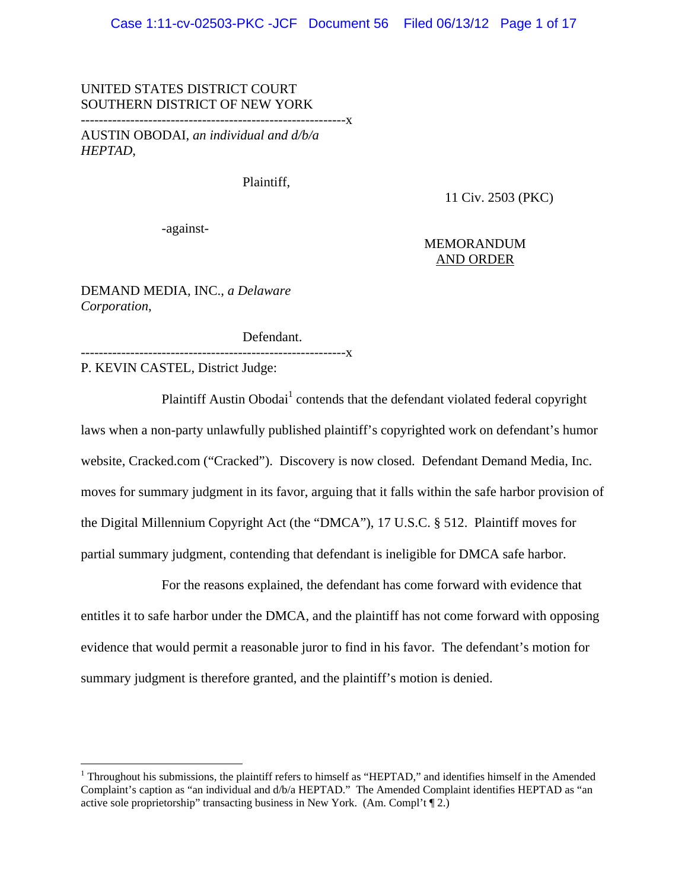#### UNITED STATES DISTRICT COURT SOUTHERN DISTRICT OF NEW YORK

-----------------------------------------------------------x

AUSTIN OBODAI, *an individual and d/b/a HEPTAD*,

Plaintiff,

11 Civ. 2503 (PKC)

-against-

#### MEMORANDUM AND ORDER

DEMAND MEDIA, INC., *a Delaware Corporation*,

Defendant.

-----------X P. KEVIN CASTEL, District Judge:

 $\overline{a}$ 

Plaintiff Austin Obodai<sup>1</sup> contends that the defendant violated federal copyright laws when a non-party unlawfully published plaintiff's copyrighted work on defendant's humor website, Cracked.com ("Cracked"). Discovery is now closed. Defendant Demand Media, Inc. moves for summary judgment in its favor, arguing that it falls within the safe harbor provision of the Digital Millennium Copyright Act (the "DMCA"), 17 U.S.C. § 512. Plaintiff moves for partial summary judgment, contending that defendant is ineligible for DMCA safe harbor.

For the reasons explained, the defendant has come forward with evidence that entitles it to safe harbor under the DMCA, and the plaintiff has not come forward with opposing evidence that would permit a reasonable juror to find in his favor. The defendant's motion for summary judgment is therefore granted, and the plaintiff's motion is denied.

<sup>&</sup>lt;sup>1</sup> Throughout his submissions, the plaintiff refers to himself as "HEPTAD," and identifies himself in the Amended Complaint's caption as "an individual and d/b/a HEPTAD." The Amended Complaint identifies HEPTAD as "an active sole proprietorship" transacting business in New York. (Am. Compl't ¶ 2.)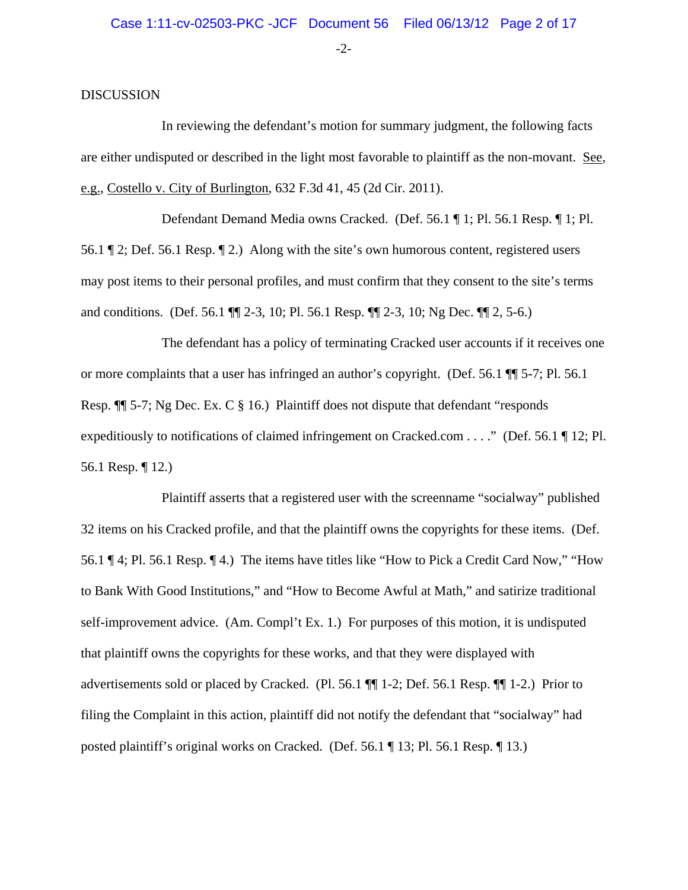-2-

#### **DISCUSSION**

In reviewing the defendant's motion for summary judgment, the following facts are either undisputed or described in the light most favorable to plaintiff as the non-movant. See, e.g., Costello v. City of Burlington, 632 F.3d 41, 45 (2d Cir. 2011).

Defendant Demand Media owns Cracked. (Def. 56.1 ¶ 1; Pl. 56.1 Resp. ¶ 1; Pl. 56.1 ¶ 2; Def. 56.1 Resp. ¶ 2.) Along with the site's own humorous content, registered users may post items to their personal profiles, and must confirm that they consent to the site's terms and conditions. (Def. 56.1 ¶¶ 2-3, 10; Pl. 56.1 Resp. ¶¶ 2-3, 10; Ng Dec. ¶¶ 2, 5-6.)

The defendant has a policy of terminating Cracked user accounts if it receives one or more complaints that a user has infringed an author's copyright. (Def. 56.1 ¶¶ 5-7; Pl. 56.1 Resp.  $\P$  5-7; Ng Dec. Ex. C § 16.) Plaintiff does not dispute that defendant "responds" expeditiously to notifications of claimed infringement on Cracked.com . . . ." (Def. 56.1 ¶ 12; Pl. 56.1 Resp. ¶ 12.)

Plaintiff asserts that a registered user with the screenname "socialway" published 32 items on his Cracked profile, and that the plaintiff owns the copyrights for these items. (Def. 56.1 ¶ 4; Pl. 56.1 Resp. ¶ 4.) The items have titles like "How to Pick a Credit Card Now," "How to Bank With Good Institutions," and "How to Become Awful at Math," and satirize traditional self-improvement advice. (Am. Compl't Ex. 1.) For purposes of this motion, it is undisputed that plaintiff owns the copyrights for these works, and that they were displayed with advertisements sold or placed by Cracked. (Pl. 56.1 ¶¶ 1-2; Def. 56.1 Resp. ¶¶ 1-2.) Prior to filing the Complaint in this action, plaintiff did not notify the defendant that "socialway" had posted plaintiff's original works on Cracked. (Def. 56.1 ¶ 13; Pl. 56.1 Resp. ¶ 13.)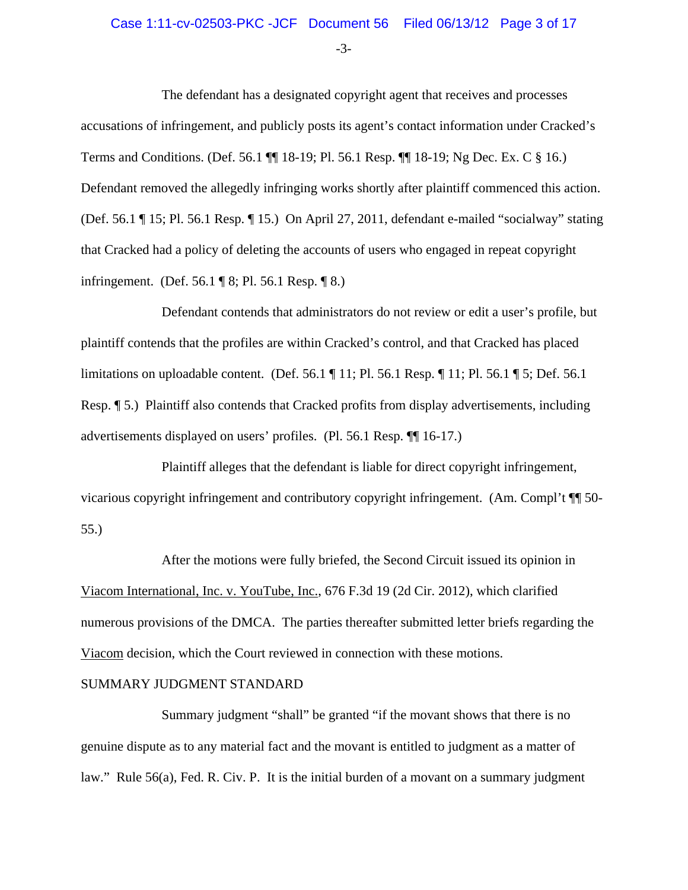#### Case 1:11-cv-02503-PKC -JCF Document 56 Filed 06/13/12 Page 3 of 17

-3-

The defendant has a designated copyright agent that receives and processes accusations of infringement, and publicly posts its agent's contact information under Cracked's Terms and Conditions. (Def. 56.1 ¶¶ 18-19; Pl. 56.1 Resp. ¶¶ 18-19; Ng Dec. Ex. C § 16.) Defendant removed the allegedly infringing works shortly after plaintiff commenced this action. (Def. 56.1 ¶ 15; Pl. 56.1 Resp. ¶ 15.) On April 27, 2011, defendant e-mailed "socialway" stating that Cracked had a policy of deleting the accounts of users who engaged in repeat copyright infringement. (Def. 56.1 ¶ 8; Pl. 56.1 Resp. ¶ 8.)

Defendant contends that administrators do not review or edit a user's profile, but plaintiff contends that the profiles are within Cracked's control, and that Cracked has placed limitations on uploadable content. (Def. 56.1 ¶ 11; Pl. 56.1 Resp. ¶ 11; Pl. 56.1 ¶ 5; Def. 56.1 Resp. ¶ 5.) Plaintiff also contends that Cracked profits from display advertisements, including advertisements displayed on users' profiles. (Pl. 56.1 Resp. ¶¶ 16-17.)

Plaintiff alleges that the defendant is liable for direct copyright infringement, vicarious copyright infringement and contributory copyright infringement. (Am. Compl't ¶¶ 50- 55.)

After the motions were fully briefed, the Second Circuit issued its opinion in Viacom International, Inc. v. YouTube, Inc., 676 F.3d 19 (2d Cir. 2012), which clarified numerous provisions of the DMCA. The parties thereafter submitted letter briefs regarding the Viacom decision, which the Court reviewed in connection with these motions.

#### SUMMARY JUDGMENT STANDARD

Summary judgment "shall" be granted "if the movant shows that there is no genuine dispute as to any material fact and the movant is entitled to judgment as a matter of law." Rule 56(a), Fed. R. Civ. P. It is the initial burden of a movant on a summary judgment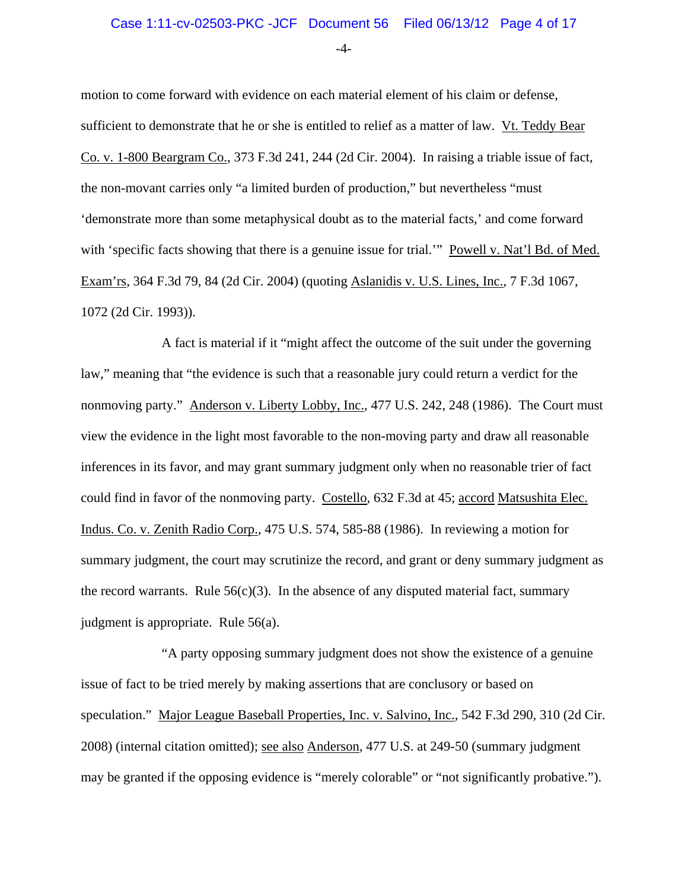-4-

motion to come forward with evidence on each material element of his claim or defense, sufficient to demonstrate that he or she is entitled to relief as a matter of law. Vt. Teddy Bear Co. v. 1-800 Beargram Co., 373 F.3d 241, 244 (2d Cir. 2004). In raising a triable issue of fact, the non-movant carries only "a limited burden of production," but nevertheless "must 'demonstrate more than some metaphysical doubt as to the material facts,' and come forward with 'specific facts showing that there is a genuine issue for trial.'" Powell v. Nat'l Bd. of Med. Exam'rs, 364 F.3d 79, 84 (2d Cir. 2004) (quoting Aslanidis v. U.S. Lines, Inc., 7 F.3d 1067, 1072 (2d Cir. 1993)).

A fact is material if it "might affect the outcome of the suit under the governing law," meaning that "the evidence is such that a reasonable jury could return a verdict for the nonmoving party." Anderson v. Liberty Lobby, Inc., 477 U.S. 242, 248 (1986). The Court must view the evidence in the light most favorable to the non-moving party and draw all reasonable inferences in its favor, and may grant summary judgment only when no reasonable trier of fact could find in favor of the nonmoving party. Costello*,* 632 F.3d at 45; accord Matsushita Elec. Indus. Co. v. Zenith Radio Corp., 475 U.S. 574, 585-88 (1986). In reviewing a motion for summary judgment, the court may scrutinize the record, and grant or deny summary judgment as the record warrants. Rule  $56(c)(3)$ . In the absence of any disputed material fact, summary judgment is appropriate. Rule 56(a).

"A party opposing summary judgment does not show the existence of a genuine issue of fact to be tried merely by making assertions that are conclusory or based on speculation." Major League Baseball Properties, Inc. v. Salvino, Inc., 542 F.3d 290, 310 (2d Cir. 2008) (internal citation omitted); see also Anderson, 477 U.S. at 249-50 (summary judgment may be granted if the opposing evidence is "merely colorable" or "not significantly probative.").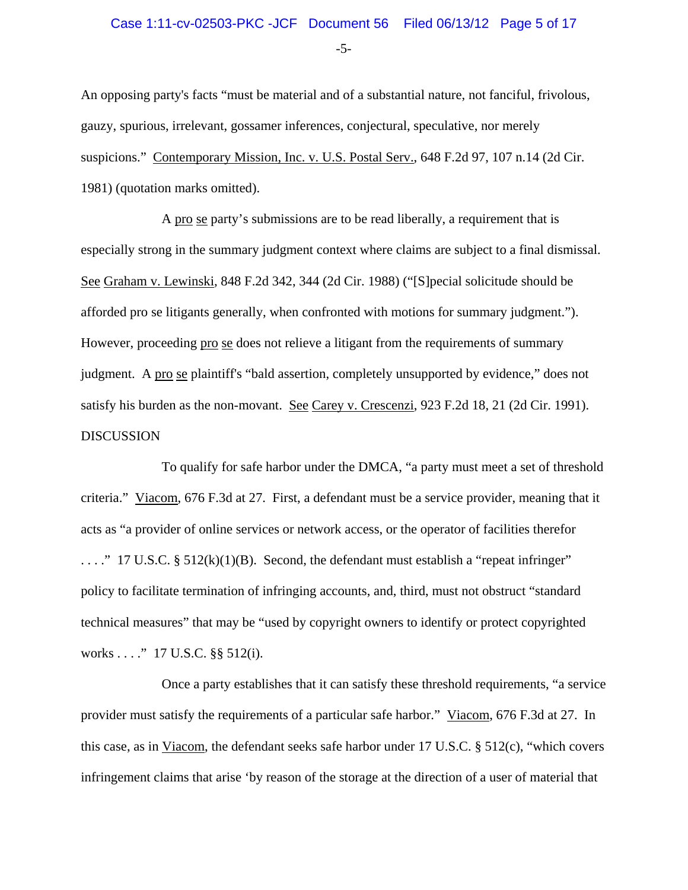# Case 1:11-cv-02503-PKC -JCF Document 56 Filed 06/13/12 Page 5 of 17

-5-

An opposing party's facts "must be material and of a substantial nature, not fanciful, frivolous, gauzy, spurious, irrelevant, gossamer inferences, conjectural, speculative, nor merely suspicions." Contemporary Mission, Inc. v. U.S. Postal Serv., 648 F.2d 97, 107 n.14 (2d Cir. 1981) (quotation marks omitted).

A pro se party's submissions are to be read liberally, a requirement that is especially strong in the summary judgment context where claims are subject to a final dismissal. See Graham v. Lewinski*,* 848 F.2d 342, 344 (2d Cir. 1988) ("[S]pecial solicitude should be afforded pro se litigants generally, when confronted with motions for summary judgment."). However, proceeding pro se does not relieve a litigant from the requirements of summary judgment. A pro se plaintiff's "bald assertion, completely unsupported by evidence," does not satisfy his burden as the non-movant. See Carey v. Crescenzi, 923 F.2d 18, 21 (2d Cir. 1991). DISCUSSION

To qualify for safe harbor under the DMCA, "a party must meet a set of threshold criteria." Viacom, 676 F.3d at 27. First, a defendant must be a service provider, meaning that it acts as "a provider of online services or network access, or the operator of facilities therefor  $\ldots$ ." 17 U.S.C. § 512(k)(1)(B). Second, the defendant must establish a "repeat infringer" policy to facilitate termination of infringing accounts, and, third, must not obstruct "standard technical measures" that may be "used by copyright owners to identify or protect copyrighted works . . . ." 17 U.S.C. §§ 512(i).

Once a party establishes that it can satisfy these threshold requirements, "a service provider must satisfy the requirements of a particular safe harbor." Viacom, 676 F.3d at 27. In this case, as in Viacom, the defendant seeks safe harbor under 17 U.S.C. § 512(c), "which covers infringement claims that arise 'by reason of the storage at the direction of a user of material that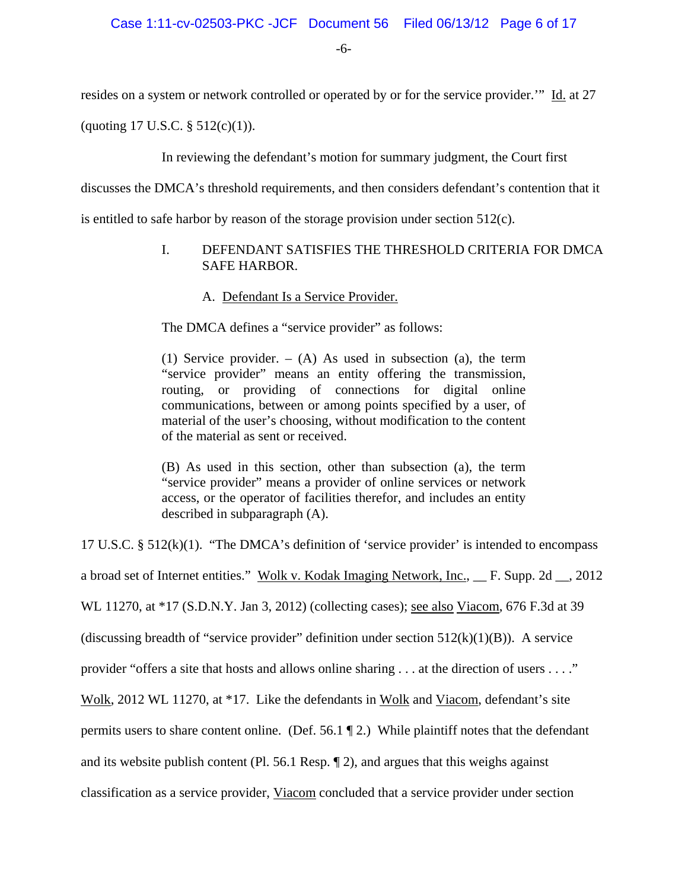-6-

resides on a system or network controlled or operated by or for the service provider.'" Id. at 27

(quoting 17 U.S.C. § 512(c)(1)).

In reviewing the defendant's motion for summary judgment, the Court first

discusses the DMCA's threshold requirements, and then considers defendant's contention that it

is entitled to safe harbor by reason of the storage provision under section  $512(c)$ .

## I. DEFENDANT SATISFIES THE THRESHOLD CRITERIA FOR DMCA SAFE HARBOR.

A. Defendant Is a Service Provider.

The DMCA defines a "service provider" as follows:

(1) Service provider.  $-$  (A) As used in subsection (a), the term "service provider" means an entity offering the transmission, routing, or providing of connections for digital online communications, between or among points specified by a user, of material of the user's choosing, without modification to the content of the material as sent or received.

(B) As used in this section, other than subsection (a), the term "service provider" means a provider of online services or network access, or the operator of facilities therefor, and includes an entity described in subparagraph (A).

17 U.S.C. § 512(k)(1). "The DMCA's definition of 'service provider' is intended to encompass a broad set of Internet entities." Wolk v. Kodak Imaging Network, Inc., \_\_ F. Supp. 2d \_\_, 2012 WL 11270, at \*17 (S.D.N.Y. Jan 3, 2012) (collecting cases); see also Viacom, 676 F.3d at 39 (discussing breadth of "service provider" definition under section  $512(k)(1)(B)$ ). A service provider "offers a site that hosts and allows online sharing . . . at the direction of users . . . ." Wolk, 2012 WL 11270, at \*17. Like the defendants in Wolk and Viacom, defendant's site permits users to share content online. (Def. 56.1 ¶ 2.) While plaintiff notes that the defendant and its website publish content (Pl. 56.1 Resp. ¶ 2), and argues that this weighs against classification as a service provider, Viacom concluded that a service provider under section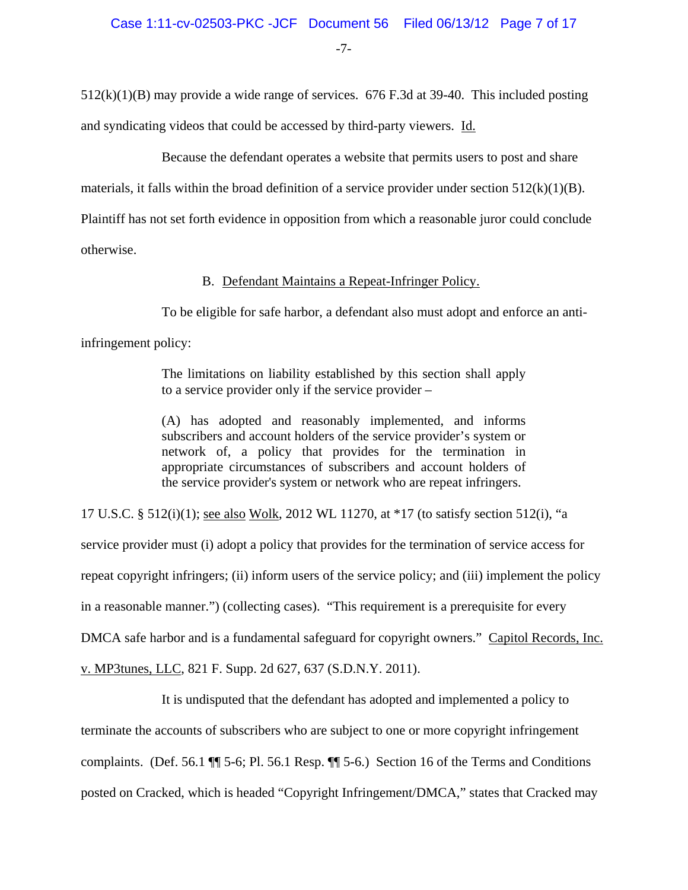-7-

 $512(k)(1)(B)$  may provide a wide range of services. 676 F.3d at 39-40. This included posting and syndicating videos that could be accessed by third-party viewers. Id.

Because the defendant operates a website that permits users to post and share

materials, it falls within the broad definition of a service provider under section 512(k)(1)(B).

Plaintiff has not set forth evidence in opposition from which a reasonable juror could conclude

otherwise.

B. Defendant Maintains a Repeat-Infringer Policy.

To be eligible for safe harbor, a defendant also must adopt and enforce an anti-

infringement policy:

The limitations on liability established by this section shall apply to a service provider only if the service provider –

(A) has adopted and reasonably implemented, and informs subscribers and account holders of the service provider's system or network of, a policy that provides for the termination in appropriate circumstances of subscribers and account holders of the service provider's system or network who are repeat infringers.

17 U.S.C. § 512(i)(1); see also Wolk, 2012 WL 11270, at \*17 (to satisfy section 512(i), "a service provider must (i) adopt a policy that provides for the termination of service access for repeat copyright infringers; (ii) inform users of the service policy; and (iii) implement the policy in a reasonable manner.") (collecting cases). "This requirement is a prerequisite for every DMCA safe harbor and is a fundamental safeguard for copyright owners." Capitol Records, Inc.

v. MP3tunes, LLC, 821 F. Supp. 2d 627, 637 (S.D.N.Y. 2011).

It is undisputed that the defendant has adopted and implemented a policy to terminate the accounts of subscribers who are subject to one or more copyright infringement complaints. (Def. 56.1 ¶¶ 5-6; Pl. 56.1 Resp. ¶¶ 5-6.) Section 16 of the Terms and Conditions posted on Cracked, which is headed "Copyright Infringement/DMCA," states that Cracked may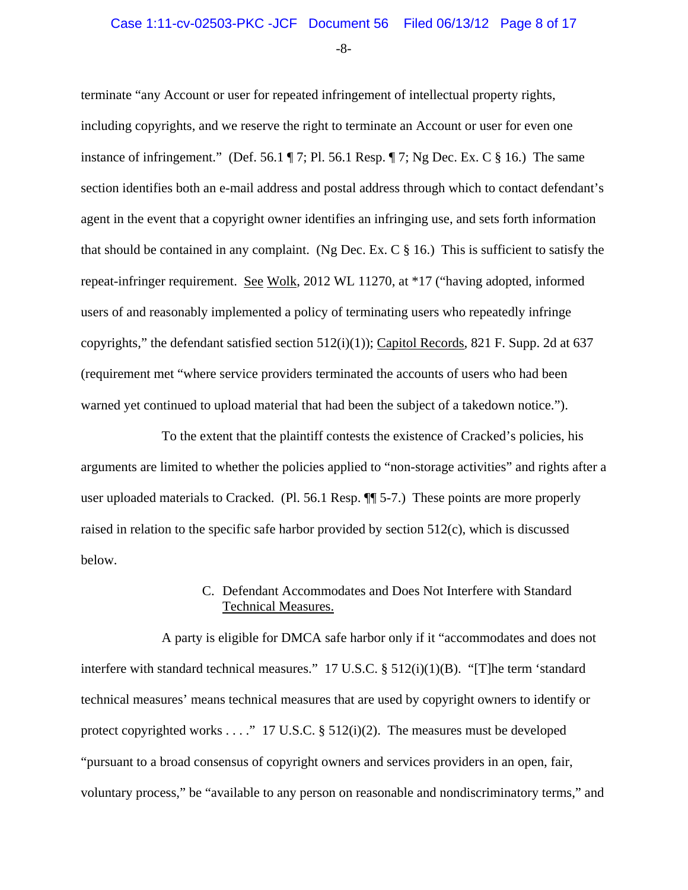-8-

terminate "any Account or user for repeated infringement of intellectual property rights, including copyrights, and we reserve the right to terminate an Account or user for even one instance of infringement." (Def. 56.1  $\P$  7; Pl. 56.1 Resp.  $\P$  7; Ng Dec. Ex. C  $\S$  16.) The same section identifies both an e-mail address and postal address through which to contact defendant's agent in the event that a copyright owner identifies an infringing use, and sets forth information that should be contained in any complaint. (Ng Dec. Ex. C § 16.) This is sufficient to satisfy the repeat-infringer requirement. See Wolk, 2012 WL 11270, at \*17 ("having adopted, informed users of and reasonably implemented a policy of terminating users who repeatedly infringe copyrights," the defendant satisfied section  $512(i)(1)$ ; Capitol Records, 821 F. Supp. 2d at 637 (requirement met "where service providers terminated the accounts of users who had been warned yet continued to upload material that had been the subject of a takedown notice.").

To the extent that the plaintiff contests the existence of Cracked's policies, his arguments are limited to whether the policies applied to "non-storage activities" and rights after a user uploaded materials to Cracked. (Pl. 56.1 Resp. ¶¶ 5-7.) These points are more properly raised in relation to the specific safe harbor provided by section 512(c), which is discussed below.

## C. Defendant Accommodates and Does Not Interfere with Standard Technical Measures.

A party is eligible for DMCA safe harbor only if it "accommodates and does not interfere with standard technical measures." 17 U.S.C. § 512(i)(1)(B). "[T]he term 'standard technical measures' means technical measures that are used by copyright owners to identify or protect copyrighted works . . . ." 17 U.S.C. § 512(i)(2). The measures must be developed "pursuant to a broad consensus of copyright owners and services providers in an open, fair, voluntary process," be "available to any person on reasonable and nondiscriminatory terms," and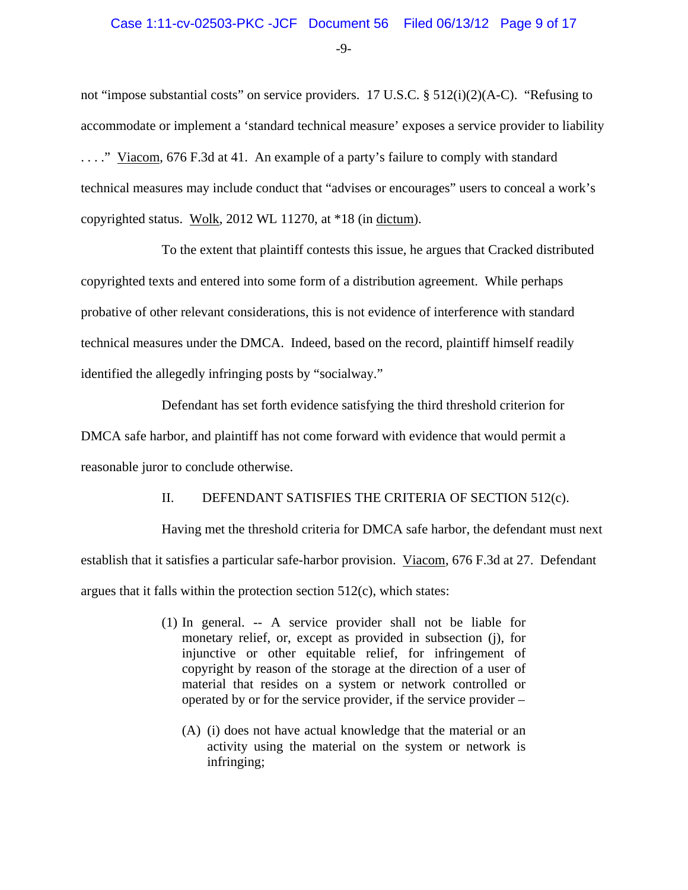## Case 1:11-cv-02503-PKC -JCF Document 56 Filed 06/13/12 Page 9 of 17

-9-

not "impose substantial costs" on service providers. 17 U.S.C. § 512(i)(2)(A-C). "Refusing to accommodate or implement a 'standard technical measure' exposes a service provider to liability . . . ." Viacom, 676 F.3d at 41. An example of a party's failure to comply with standard technical measures may include conduct that "advises or encourages" users to conceal a work's copyrighted status. Wolk, 2012 WL 11270, at \*18 (in dictum).

To the extent that plaintiff contests this issue, he argues that Cracked distributed copyrighted texts and entered into some form of a distribution agreement. While perhaps probative of other relevant considerations, this is not evidence of interference with standard technical measures under the DMCA. Indeed, based on the record, plaintiff himself readily identified the allegedly infringing posts by "socialway."

Defendant has set forth evidence satisfying the third threshold criterion for DMCA safe harbor, and plaintiff has not come forward with evidence that would permit a reasonable juror to conclude otherwise.

# II. DEFENDANT SATISFIES THE CRITERIA OF SECTION 512(c).

Having met the threshold criteria for DMCA safe harbor, the defendant must next establish that it satisfies a particular safe-harbor provision. Viacom, 676 F.3d at 27. Defendant argues that it falls within the protection section 512(c), which states:

- (1) In general. -- A service provider shall not be liable for monetary relief, or, except as provided in subsection (j), for injunctive or other equitable relief, for infringement of copyright by reason of the storage at the direction of a user of material that resides on a system or network controlled or operated by or for the service provider, if the service provider –
	- (A) (i) does not have actual knowledge that the material or an activity using the material on the system or network is infringing;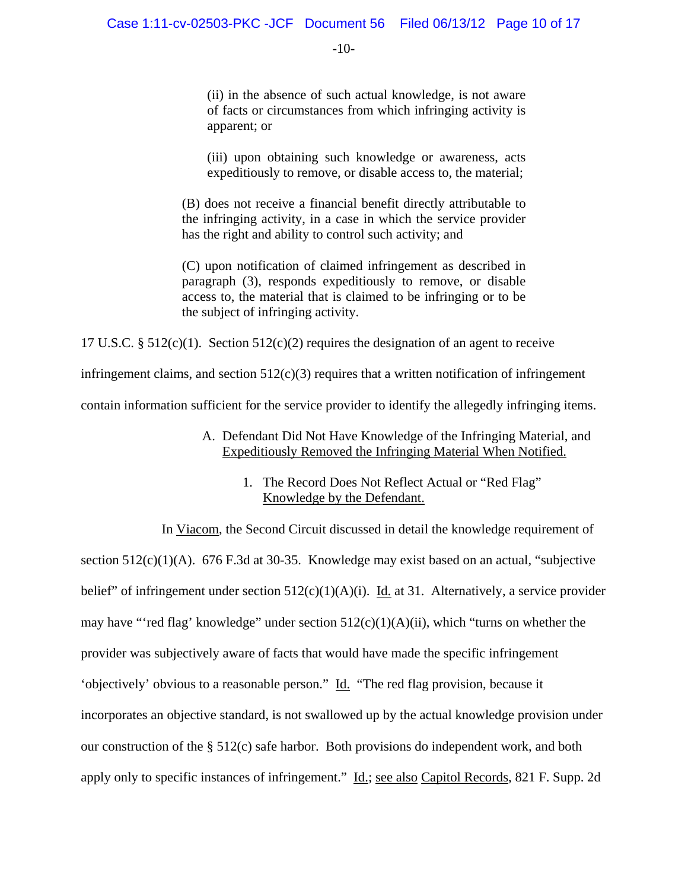-10-

(ii) in the absence of such actual knowledge, is not aware of facts or circumstances from which infringing activity is apparent; or

(iii) upon obtaining such knowledge or awareness, acts expeditiously to remove, or disable access to, the material;

(B) does not receive a financial benefit directly attributable to the infringing activity, in a case in which the service provider has the right and ability to control such activity; and

(C) upon notification of claimed infringement as described in paragraph (3), responds expeditiously to remove, or disable access to, the material that is claimed to be infringing or to be the subject of infringing activity.

17 U.S.C.  $\S 512(c)(1)$ . Section  $512(c)(2)$  requires the designation of an agent to receive

infringement claims, and section  $512(c)(3)$  requires that a written notification of infringement

contain information sufficient for the service provider to identify the allegedly infringing items.

## A. Defendant Did Not Have Knowledge of the Infringing Material, and Expeditiously Removed the Infringing Material When Notified.

1. The Record Does Not Reflect Actual or "Red Flag" Knowledge by the Defendant.

In Viacom, the Second Circuit discussed in detail the knowledge requirement of section 512(c)(1)(A). 676 F.3d at 30-35. Knowledge may exist based on an actual, "subjective belief" of infringement under section  $512(c)(1)(A)(i)$ . Id. at 31. Alternatively, a service provider may have "'red flag' knowledge" under section 512(c)(1)(A)(ii), which "turns on whether the provider was subjectively aware of facts that would have made the specific infringement 'objectively' obvious to a reasonable person." Id. "The red flag provision, because it incorporates an objective standard, is not swallowed up by the actual knowledge provision under our construction of the § 512(c) safe harbor. Both provisions do independent work, and both apply only to specific instances of infringement." Id.; see also Capitol Records, 821 F. Supp. 2d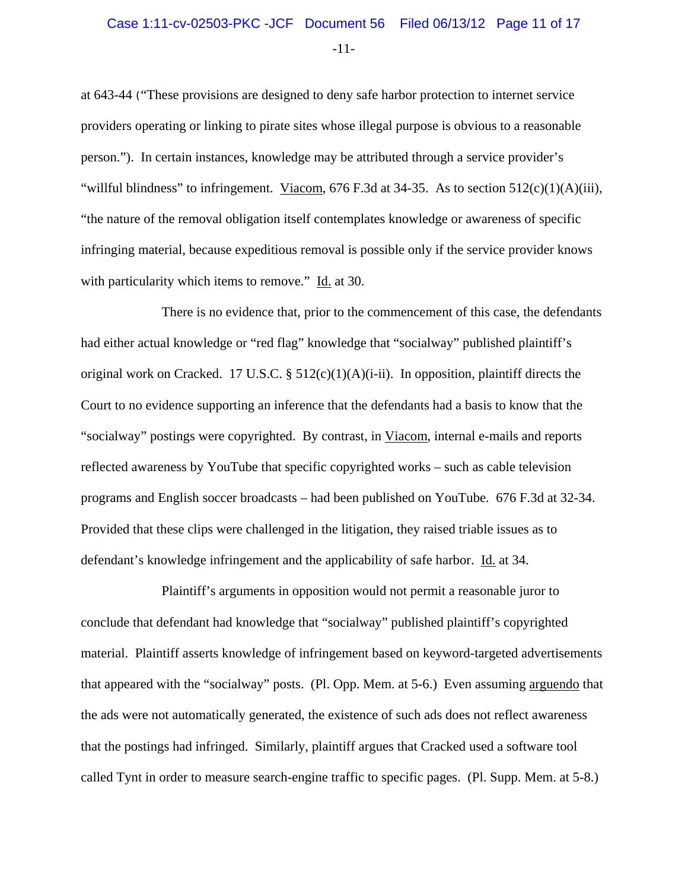-11-

at 643-44 ("These provisions are designed to deny safe harbor protection to internet service providers operating or linking to pirate sites whose illegal purpose is obvious to a reasonable person."). In certain instances, knowledge may be attributed through a service provider's "willful blindness" to infringement. Viacom,  $676$  F.3d at 34-35. As to section  $512(c)(1)(A)(iii)$ , "the nature of the removal obligation itself contemplates knowledge or awareness of specific infringing material, because expeditious removal is possible only if the service provider knows with particularity which items to remove." Id. at 30.

There is no evidence that, prior to the commencement of this case, the defendants had either actual knowledge or "red flag" knowledge that "socialway" published plaintiff's original work on Cracked. 17 U.S.C. §  $512(c)(1)(A)(i-ii)$ . In opposition, plaintiff directs the Court to no evidence supporting an inference that the defendants had a basis to know that the "socialway" postings were copyrighted. By contrast, in Viacom, internal e-mails and reports reflected awareness by YouTube that specific copyrighted works – such as cable television programs and English soccer broadcasts – had been published on YouTube. 676 F.3d at 32-34. Provided that these clips were challenged in the litigation, they raised triable issues as to defendant's knowledge infringement and the applicability of safe harbor. Id. at 34.

Plaintiff's arguments in opposition would not permit a reasonable juror to conclude that defendant had knowledge that "socialway" published plaintiff's copyrighted material. Plaintiff asserts knowledge of infringement based on keyword-targeted advertisements that appeared with the "socialway" posts. (Pl. Opp. Mem. at 5-6.) Even assuming arguendo that the ads were not automatically generated, the existence of such ads does not reflect awareness that the postings had infringed. Similarly, plaintiff argues that Cracked used a software tool called Tynt in order to measure search-engine traffic to specific pages. (Pl. Supp. Mem. at 5-8.)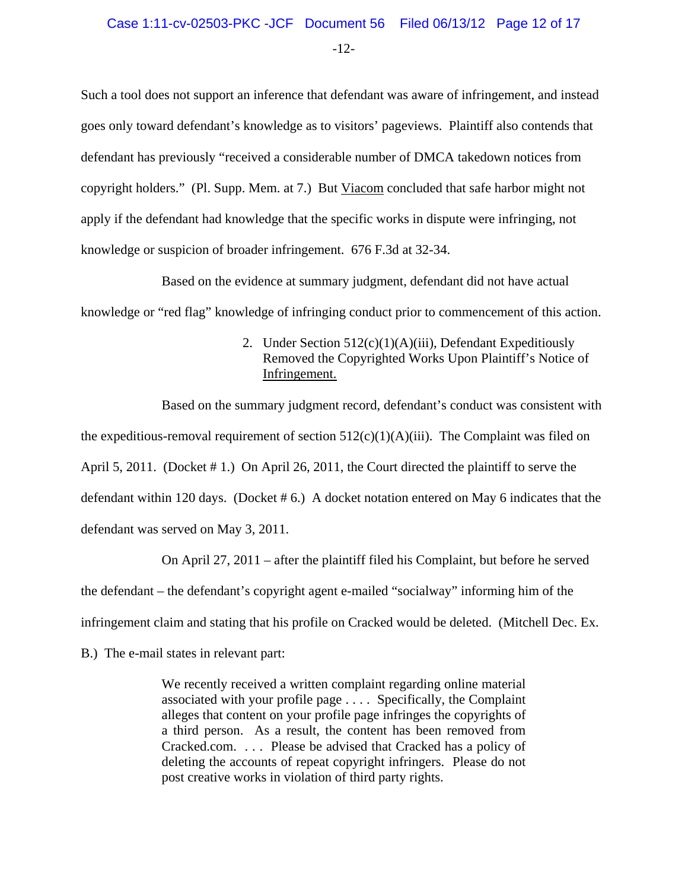-12-

Such a tool does not support an inference that defendant was aware of infringement, and instead goes only toward defendant's knowledge as to visitors' pageviews. Plaintiff also contends that defendant has previously "received a considerable number of DMCA takedown notices from copyright holders." (Pl. Supp. Mem. at 7.) But Viacom concluded that safe harbor might not apply if the defendant had knowledge that the specific works in dispute were infringing, not knowledge or suspicion of broader infringement. 676 F.3d at 32-34.

Based on the evidence at summary judgment, defendant did not have actual knowledge or "red flag" knowledge of infringing conduct prior to commencement of this action.

# 2. Under Section 512(c)(1)(A)(iii), Defendant Expeditiously Removed the Copyrighted Works Upon Plaintiff's Notice of Infringement.

Based on the summary judgment record, defendant's conduct was consistent with the expeditious-removal requirement of section  $512(c)(1)(A)(iii)$ . The Complaint was filed on April 5, 2011. (Docket # 1.) On April 26, 2011, the Court directed the plaintiff to serve the defendant within 120 days. (Docket  $# 6$ .) A docket notation entered on May 6 indicates that the defendant was served on May 3, 2011.

On April 27, 2011 – after the plaintiff filed his Complaint, but before he served the defendant – the defendant's copyright agent e-mailed "socialway" informing him of the infringement claim and stating that his profile on Cracked would be deleted. (Mitchell Dec. Ex.

B.) The e-mail states in relevant part:

We recently received a written complaint regarding online material associated with your profile page . . . . Specifically, the Complaint alleges that content on your profile page infringes the copyrights of a third person. As a result, the content has been removed from Cracked.com. . . . Please be advised that Cracked has a policy of deleting the accounts of repeat copyright infringers. Please do not post creative works in violation of third party rights.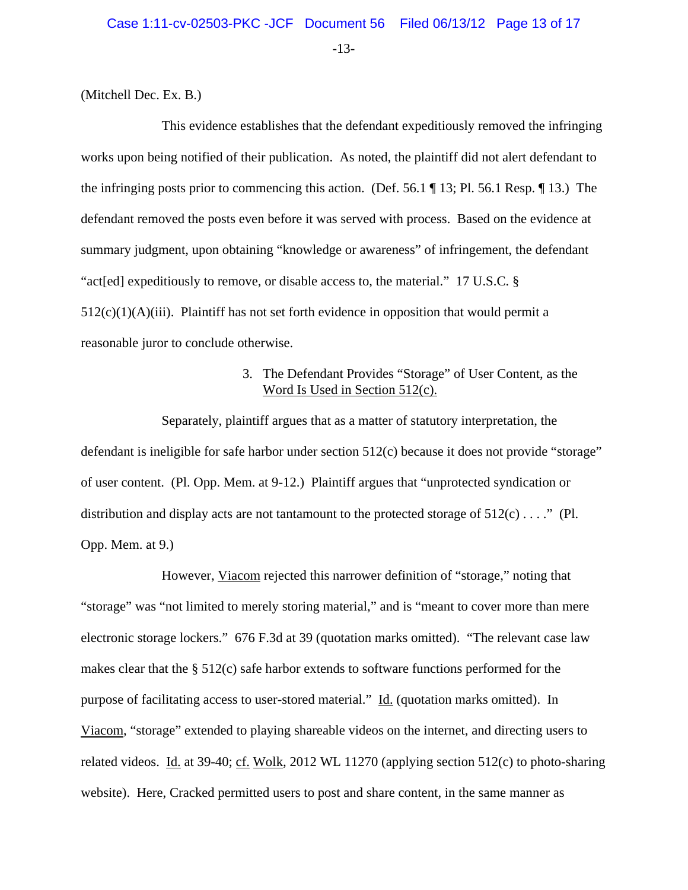-13-

(Mitchell Dec. Ex. B.)

This evidence establishes that the defendant expeditiously removed the infringing works upon being notified of their publication. As noted, the plaintiff did not alert defendant to the infringing posts prior to commencing this action. (Def. 56.1 ¶ 13; Pl. 56.1 Resp. ¶ 13.) The defendant removed the posts even before it was served with process. Based on the evidence at summary judgment, upon obtaining "knowledge or awareness" of infringement, the defendant "act[ed] expeditiously to remove, or disable access to, the material." 17 U.S.C. §  $512(c)(1)(A)(iii)$ . Plaintiff has not set forth evidence in opposition that would permit a reasonable juror to conclude otherwise.

# 3. The Defendant Provides "Storage" of User Content, as the Word Is Used in Section 512(c).

Separately, plaintiff argues that as a matter of statutory interpretation, the defendant is ineligible for safe harbor under section 512(c) because it does not provide "storage" of user content. (Pl. Opp. Mem. at 9-12.) Plaintiff argues that "unprotected syndication or distribution and display acts are not tantamount to the protected storage of  $512(c) \ldots$ ." (Pl. Opp. Mem. at 9.)

However, Viacom rejected this narrower definition of "storage," noting that "storage" was "not limited to merely storing material," and is "meant to cover more than mere electronic storage lockers." 676 F.3d at 39 (quotation marks omitted). "The relevant case law makes clear that the § 512(c) safe harbor extends to software functions performed for the purpose of facilitating access to user-stored material." Id. (quotation marks omitted). In Viacom, "storage" extended to playing shareable videos on the internet, and directing users to related videos. Id. at 39-40; cf. Wolk, 2012 WL 11270 (applying section 512(c) to photo-sharing website). Here, Cracked permitted users to post and share content, in the same manner as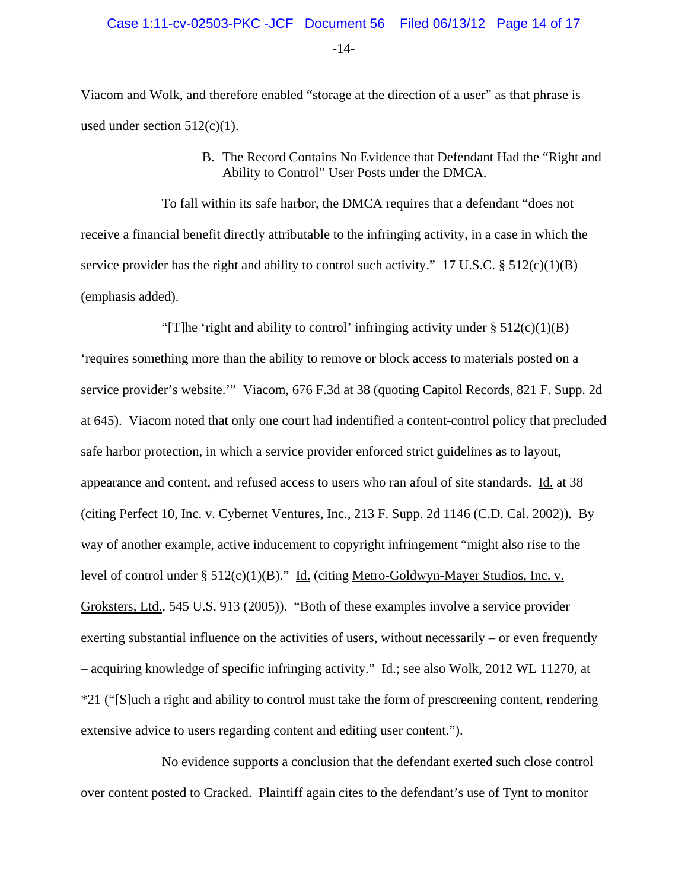-14-

Viacom and Wolk, and therefore enabled "storage at the direction of a user" as that phrase is used under section  $512(c)(1)$ .

# B. The Record Contains No Evidence that Defendant Had the "Right and Ability to Control" User Posts under the DMCA.

To fall within its safe harbor, the DMCA requires that a defendant "does not receive a financial benefit directly attributable to the infringing activity, in a case in which the service provider has the right and ability to control such activity." 17 U.S.C.  $\S$  512(c)(1)(B) (emphasis added).

"[T]he 'right and ability to control' infringing activity under  $\S 512(c)(1)(B)$ 'requires something more than the ability to remove or block access to materials posted on a service provider's website.'" Viacom, 676 F.3d at 38 (quoting Capitol Records, 821 F. Supp. 2d at 645). Viacom noted that only one court had indentified a content-control policy that precluded safe harbor protection, in which a service provider enforced strict guidelines as to layout, appearance and content, and refused access to users who ran afoul of site standards. Id. at 38 (citing Perfect 10, Inc. v. Cybernet Ventures, Inc., 213 F. Supp. 2d 1146 (C.D. Cal. 2002)). By way of another example, active inducement to copyright infringement "might also rise to the level of control under § 512(c)(1)(B)." Id. (citing Metro-Goldwyn-Mayer Studios, Inc. v. Groksters, Ltd., 545 U.S. 913 (2005)). "Both of these examples involve a service provider exerting substantial influence on the activities of users, without necessarily – or even frequently – acquiring knowledge of specific infringing activity." Id.; see also Wolk, 2012 WL 11270, at \*21 ("[S]uch a right and ability to control must take the form of prescreening content, rendering extensive advice to users regarding content and editing user content.").

No evidence supports a conclusion that the defendant exerted such close control over content posted to Cracked. Plaintiff again cites to the defendant's use of Tynt to monitor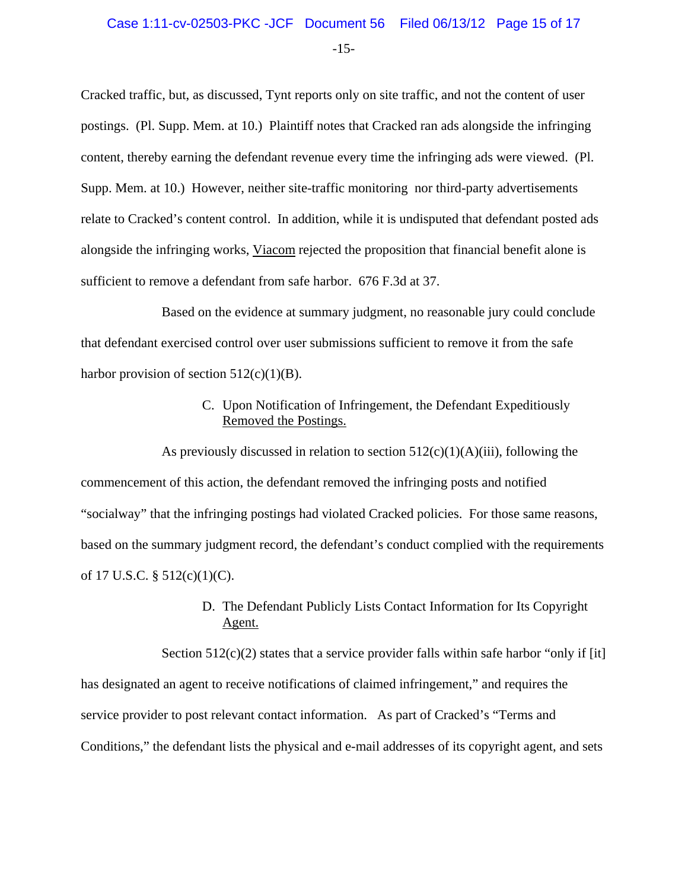# Case 1:11-cv-02503-PKC -JCF Document 56 Filed 06/13/12 Page 15 of 17

-15-

Cracked traffic, but, as discussed, Tynt reports only on site traffic, and not the content of user postings. (Pl. Supp. Mem. at 10.) Plaintiff notes that Cracked ran ads alongside the infringing content, thereby earning the defendant revenue every time the infringing ads were viewed. (Pl. Supp. Mem. at 10.) However, neither site-traffic monitoring nor third-party advertisements relate to Cracked's content control. In addition, while it is undisputed that defendant posted ads alongside the infringing works, Viacom rejected the proposition that financial benefit alone is sufficient to remove a defendant from safe harbor. 676 F.3d at 37.

Based on the evidence at summary judgment, no reasonable jury could conclude that defendant exercised control over user submissions sufficient to remove it from the safe harbor provision of section  $512(c)(1)(B)$ .

# C. Upon Notification of Infringement, the Defendant Expeditiously Removed the Postings.

As previously discussed in relation to section  $512(c)(1)(A)(iii)$ , following the commencement of this action, the defendant removed the infringing posts and notified "socialway" that the infringing postings had violated Cracked policies. For those same reasons, based on the summary judgment record, the defendant's conduct complied with the requirements of 17 U.S.C. § 512(c)(1)(C).

# D. The Defendant Publicly Lists Contact Information for Its Copyright Agent.

Section  $512(c)(2)$  states that a service provider falls within safe harbor "only if [it] has designated an agent to receive notifications of claimed infringement," and requires the service provider to post relevant contact information. As part of Cracked's "Terms and Conditions," the defendant lists the physical and e-mail addresses of its copyright agent, and sets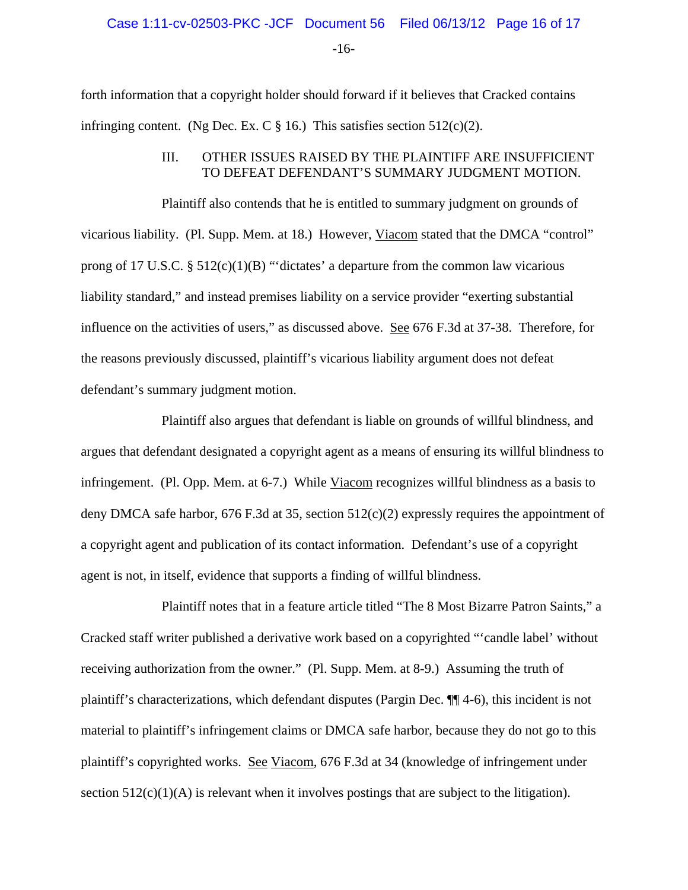-16-

forth information that a copyright holder should forward if it believes that Cracked contains infringing content. (Ng Dec. Ex. C  $\S$  16.) This satisfies section 512(c)(2).

## III. OTHER ISSUES RAISED BY THE PLAINTIFF ARE INSUFFICIENT TO DEFEAT DEFENDANT'S SUMMARY JUDGMENT MOTION.

Plaintiff also contends that he is entitled to summary judgment on grounds of vicarious liability. (Pl. Supp. Mem. at 18.) However, Viacom stated that the DMCA "control" prong of 17 U.S.C.  $\S$  512(c)(1)(B) "'dictates' a departure from the common law vicarious liability standard," and instead premises liability on a service provider "exerting substantial influence on the activities of users," as discussed above. See 676 F.3d at 37-38. Therefore, for the reasons previously discussed, plaintiff's vicarious liability argument does not defeat defendant's summary judgment motion.

Plaintiff also argues that defendant is liable on grounds of willful blindness, and argues that defendant designated a copyright agent as a means of ensuring its willful blindness to infringement. (Pl. Opp. Mem. at 6-7.) While Viacom recognizes willful blindness as a basis to deny DMCA safe harbor, 676 F.3d at 35, section 512(c)(2) expressly requires the appointment of a copyright agent and publication of its contact information. Defendant's use of a copyright agent is not, in itself, evidence that supports a finding of willful blindness.

Plaintiff notes that in a feature article titled "The 8 Most Bizarre Patron Saints," a Cracked staff writer published a derivative work based on a copyrighted "'candle label' without receiving authorization from the owner." (Pl. Supp. Mem. at 8-9.) Assuming the truth of plaintiff's characterizations, which defendant disputes (Pargin Dec. ¶¶ 4-6), this incident is not material to plaintiff's infringement claims or DMCA safe harbor, because they do not go to this plaintiff's copyrighted works. See Viacom, 676 F.3d at 34 (knowledge of infringement under section  $512(c)(1)(A)$  is relevant when it involves postings that are subject to the litigation).